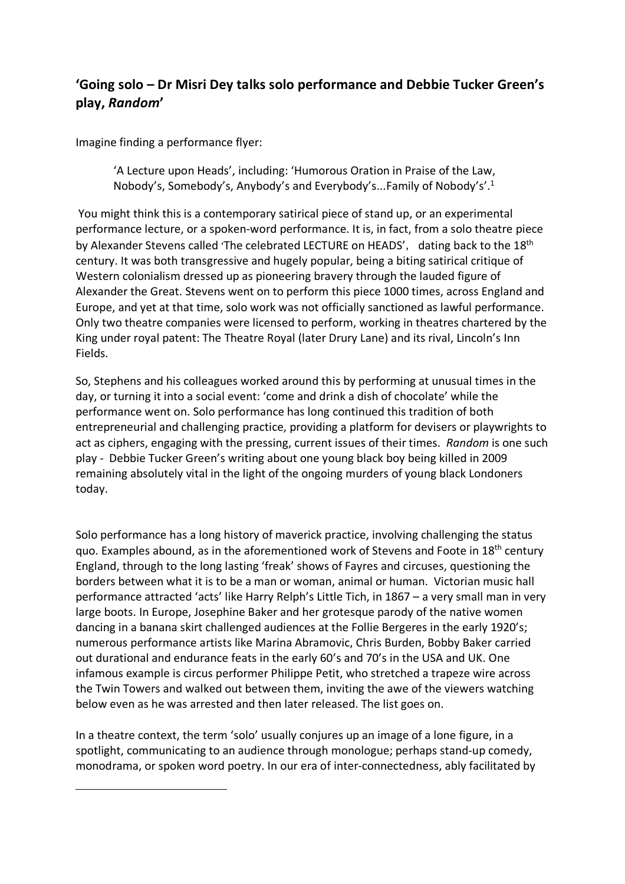## **'Going solo – Dr Misri Dey talks solo performance and Debbie Tucker Green's play,** *Random***'**

Imagine finding a performance flyer:

 $\overline{a}$ 

'A Lecture upon Heads', including: 'Humorous Oration in Praise of the Law, Nobody's, Somebody's, Anybody's and Everybody's...Family of Nobody's'.1

You might think this is a contemporary satirical piece of stand up, or an experimental performance lecture, or a spoken-word performance. It is, in fact, from a solo theatre piece by Alexander Stevens called 'The celebrated LECTURE on HEADS', dating back to the 18<sup>th</sup> century. It was both transgressive and hugely popular, being a biting satirical critique of Western colonialism dressed up as pioneering bravery through the lauded figure of Alexander the Great. Stevens went on to perform this piece 1000 times, across England and Europe, and yet at that time, solo work was not officially sanctioned as lawful performance. Only two theatre companies were licensed to perform, working in theatres chartered by the King under royal patent: The Theatre Royal (later Drury Lane) and its rival, Lincoln's Inn Fields.

So, Stephens and his colleagues worked around this by performing at unusual times in the day, or turning it into a social event: 'come and drink a dish of chocolate' while the performance went on. Solo performance has long continued this tradition of both entrepreneurial and challenging practice, providing a platform for devisers or playwrights to act as ciphers, engaging with the pressing, current issues of their times. *Random* is one such play - Debbie Tucker Green's writing about one young black boy being killed in 2009 remaining absolutely vital in the light of the ongoing murders of young black Londoners today.

Solo performance has a long history of maverick practice, involving challenging the status quo. Examples abound, as in the aforementioned work of Stevens and Foote in 18<sup>th</sup> century England, through to the long lasting 'freak' shows of Fayres and circuses, questioning the borders between what it is to be a man or woman, animal or human. Victorian music hall performance attracted 'acts' like Harry Relph's Little Tich, in 1867 – a very small man in very large boots. In Europe, Josephine Baker and her grotesque parody of the native women dancing in a banana skirt challenged audiences at the Follie Bergeres in the early 1920's; numerous performance artists like Marina Abramovic, Chris Burden, Bobby Baker carried out durational and endurance feats in the early 60's and 70's in the USA and UK. One infamous example is circus performer Philippe Petit, who stretched a trapeze wire across the Twin Towers and walked out between them, inviting the awe of the viewers watching below even as he was arrested and then later released. The list goes on.

In a theatre context, the term 'solo' usually conjures up an image of a lone figure, in a spotlight, communicating to an audience through monologue; perhaps stand-up comedy, monodrama, or spoken word poetry. In our era of inter-connectedness, ably facilitated by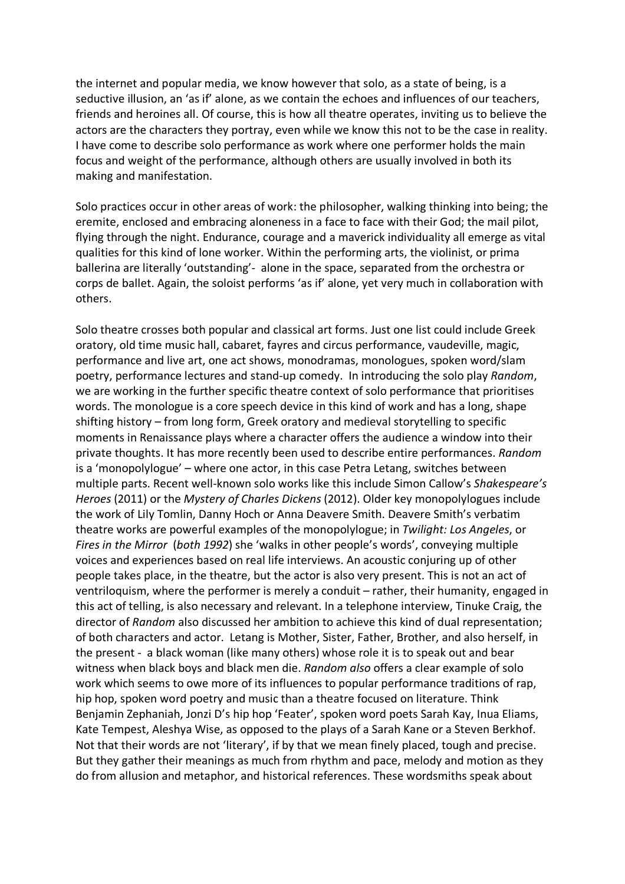the internet and popular media, we know however that solo, as a state of being, is a seductive illusion, an 'as if' alone, as we contain the echoes and influences of our teachers, friends and heroines all. Of course, this is how all theatre operates, inviting us to believe the actors are the characters they portray, even while we know this not to be the case in reality. I have come to describe solo performance as work where one performer holds the main focus and weight of the performance, although others are usually involved in both its making and manifestation.

Solo practices occur in other areas of work: the philosopher, walking thinking into being; the eremite, enclosed and embracing aloneness in a face to face with their God; the mail pilot, flying through the night. Endurance, courage and a maverick individuality all emerge as vital qualities for this kind of lone worker. Within the performing arts, the violinist, or prima ballerina are literally 'outstanding'- alone in the space, separated from the orchestra or corps de ballet. Again, the soloist performs 'as if' alone, yet very much in collaboration with others.

Solo theatre crosses both popular and classical art forms. Just one list could include Greek oratory, old time music hall, cabaret, fayres and circus performance, vaudeville, magic, performance and live art, one act shows, monodramas, monologues, spoken word/slam poetry, performance lectures and stand-up comedy. In introducing the solo play *Random*, we are working in the further specific theatre context of solo performance that prioritises words. The monologue is a core speech device in this kind of work and has a long, shape shifting history – from long form, Greek oratory and medieval storytelling to specific moments in Renaissance plays where a character offers the audience a window into their private thoughts. It has more recently been used to describe entire performances. *Random* is a 'monopolylogue' – where one actor, in this case Petra Letang, switches between multiple parts. Recent well-known solo works like this include Simon Callow's *Shakespeare's Heroes* (2011) or the *Mystery of Charles Dickens* (2012). Older key monopolylogues include the work of Lily Tomlin, Danny Hoch or Anna Deavere Smith. Deavere Smith's verbatim theatre works are powerful examples of the monopolylogue; in *Twilight: Los Angeles*, or *Fires in the Mirror* (*both 1992*) she 'walks in other people's words', conveying multiple voices and experiences based on real life interviews. An acoustic conjuring up of other people takes place, in the theatre, but the actor is also very present. This is not an act of ventriloquism, where the performer is merely a conduit – rather, their humanity, engaged in this act of telling, is also necessary and relevant. In a telephone interview, Tinuke Craig, the director of *Random* also discussed her ambition to achieve this kind of dual representation; of both characters and actor. Letang is Mother, Sister, Father, Brother, and also herself, in the present - a black woman (like many others) whose role it is to speak out and bear witness when black boys and black men die. *Random also* offers a clear example of solo work which seems to owe more of its influences to popular performance traditions of rap, hip hop, spoken word poetry and music than a theatre focused on literature. Think Benjamin Zephaniah, Jonzi D's hip hop 'Feater', spoken word poets Sarah Kay, Inua Eliams, Kate Tempest, Aleshya Wise, as opposed to the plays of a Sarah Kane or a Steven Berkhof. Not that their words are not 'literary', if by that we mean finely placed, tough and precise. But they gather their meanings as much from rhythm and pace, melody and motion as they do from allusion and metaphor, and historical references. These wordsmiths speak about